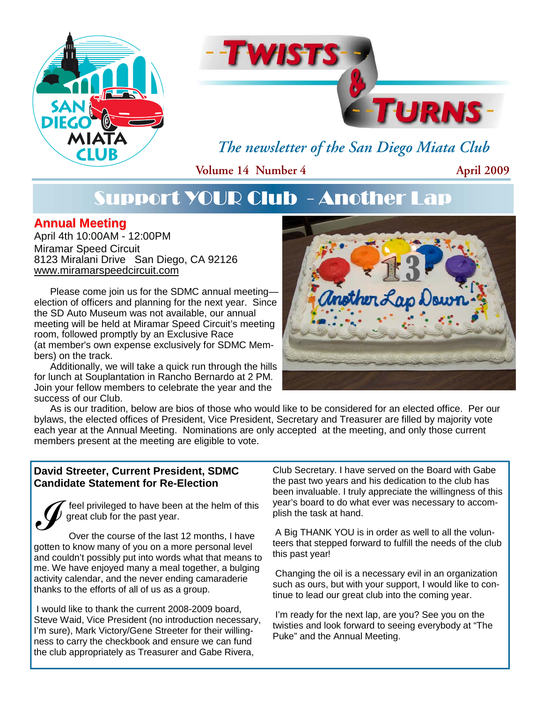



*The newsletter of the San Diego Miata Club* 

**Volume 14 Number 4** 

**April 2009** 

## Support YOUR Club - Another Lap

### **Annual Meeting**

April 4th 10:00AM - 12:00PM Miramar Speed Circuit 8123 Miralani Drive San Diego, CA 92126 www.miramarspeedcircuit.com

 Please come join us for the SDMC annual meeting election of officers and planning for the next year. Since the SD Auto Museum was not available, our annual meeting will be held at Miramar Speed Circuit's meeting room, followed promptly by an Exclusive Race (at member's own expense exclusively for SDMC Members) on the track.

 Additionally, we will take a quick run through the hills for lunch at Souplantation in Rancho Bernardo at 2 PM. Join your fellow members to celebrate the year and the success of our Club.



 As is our tradition, below are bios of those who would like to be considered for an elected office. Per our bylaws, the elected offices of President, Vice President, Secretary and Treasurer are filled by majority vote each year at the Annual Meeting. Nominations are only accepted at the meeting, and only those current members present at the meeting are eligible to vote.

### **David Streeter, Current President, SDMC Candidate Statement for Re-Election**



feel privileged to have been at the helm of this great club for the past year.

 Over the course of the last 12 months, I have gotten to know many of you on a more personal level and couldn't possibly put into words what that means to me. We have enjoyed many a meal together, a bulging activity calendar, and the never ending camaraderie thanks to the efforts of all of us as a group.

 I would like to thank the current 2008-2009 board, Steve Waid, Vice President (no introduction necessary, I'm sure), Mark Victory/Gene Streeter for their willingness to carry the checkbook and ensure we can fund the club appropriately as Treasurer and Gabe Rivera,

Club Secretary. I have served on the Board with Gabe the past two years and his dedication to the club has been invaluable. I truly appreciate the willingness of this year's board to do what ever was necessary to accomplish the task at hand.

 A Big THANK YOU is in order as well to all the volunteers that stepped forward to fulfill the needs of the club this past year!

 Changing the oil is a necessary evil in an organization such as ours, but with your support, I would like to continue to lead our great club into the coming year.

 I'm ready for the next lap, are you? See you on the twisties and look forward to seeing everybody at "The Puke" and the Annual Meeting.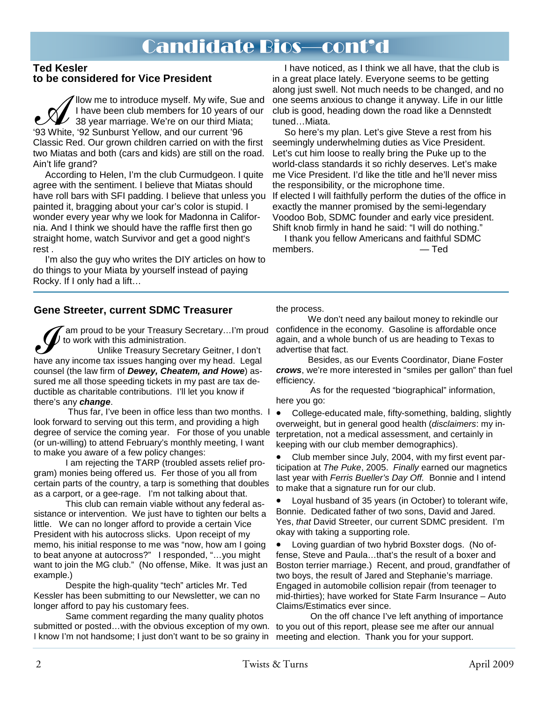#### **Ted Kesler to be considered for Vice President**

A llow me to introduce myself. My wife, Sue and<br>
1 have been club members for 10 years of our<br>
138 year marriage. We're on our third Miata;<br>
193 White, '92 Sunburst Yellow, and our current '96 I have been club members for 10 years of our 38 year marriage. We're on our third Miata; '93 White, '92 Sunburst Yellow, and our current '96 Classic Red. Our grown children carried on with the first two Miatas and both (cars and kids) are still on the road. Ain't life grand?

 According to Helen, I'm the club Curmudgeon. I quite agree with the sentiment. I believe that Miatas should have roll bars with SFI padding. I believe that unless you painted it, bragging about your car's color is stupid. I wonder every year why we look for Madonna in California. And I think we should have the raffle first then go straight home, watch Survivor and get a good night's rest .

 I'm also the guy who writes the DIY articles on how to do things to your Miata by yourself instead of paying Rocky. If I only had a lift…

 I have noticed, as I think we all have, that the club is in a great place lately. Everyone seems to be getting along just swell. Not much needs to be changed, and no one seems anxious to change it anyway. Life in our little club is good, heading down the road like a Dennstedt tuned…Miata.

 So here's my plan. Let's give Steve a rest from his seemingly underwhelming duties as Vice President. Let's cut him loose to really bring the Puke up to the world-class standards it so richly deserves. Let's make me Vice President. I'd like the title and he'll never miss the responsibility, or the microphone time. If elected I will faithfully perform the duties of the office in exactly the manner promised by the semi-legendary Voodoo Bob, SDMC founder and early vice president. Shift knob firmly in hand he said: "I will do nothing."

 I thank you fellow Americans and faithful SDMC members. — Ted

### **Gene Streeter, current SDMC Treasurer**

I am proud to be your Treasury Secretary...I'm proud<br>
Unlike Treasury Secretary Geitner, I don't<br>
have any income tax issues hanging over my head. Legal to work with this administration.

 Unlike Treasury Secretary Geitner, I don't counsel (the law firm of *Dewey, Cheatem, and Howe*) assured me all those speeding tickets in my past are tax deductible as charitable contributions. I'll let you know if there's any *change*.

 Thus far, I've been in office less than two months. I look forward to serving out this term, and providing a high degree of service the coming year. For those of you unable (or un-willing) to attend February's monthly meeting, I want to make you aware of a few policy changes:

 I am rejecting the TARP (troubled assets relief program) monies being offered us. Fer those of you all from certain parts of the country, a tarp is something that doubles as a carport, or a gee-rage. I'm not talking about that.

 This club can remain viable without any federal assistance or intervention. We just have to tighten our belts a little. We can no longer afford to provide a certain Vice President with his autocross slicks. Upon receipt of my memo, his initial response to me was "now, how am I going to beat anyone at autocross?" I responded, "…you might want to join the MG club." (No offense, Mike. It was just an example.)

 Despite the high-quality "tech" articles Mr. Ted Kessler has been submitting to our Newsletter, we can no longer afford to pay his customary fees.

 Same comment regarding the many quality photos submitted or posted…with the obvious exception of my own. I know I'm not handsome; I just don't want to be so grainy in

the process.

 We don't need any bailout money to rekindle our confidence in the economy. Gasoline is affordable once again, and a whole bunch of us are heading to Texas to advertise that fact.

 Besides, as our Events Coordinator, Diane Foster *crows*, we're more interested in "smiles per gallon" than fuel efficiency.

 As for the requested "biographical" information, here you go:

• College-educated male, fifty-something, balding, slightly overweight, but in general good health (*disclaimers*: my interpretation, not a medical assessment, and certainly in keeping with our club member demographics).

• Club member since July, 2004, with my first event participation at *The Puke*, 2005. *Finally* earned our magnetics last year with *Ferris Bueller's Day Off.* Bonnie and I intend to make that a signature run for our club.

• Loyal husband of 35 years (in October) to tolerant wife, Bonnie. Dedicated father of two sons, David and Jared. Yes, *that* David Streeter, our current SDMC president. I'm okay with taking a supporting role.

• Loving guardian of two hybrid Boxster dogs. (No offense, Steve and Paula…that's the result of a boxer and Boston terrier marriage.) Recent, and proud, grandfather of two boys, the result of Jared and Stephanie's marriage. Engaged in automobile collision repair (from teenager to mid-thirties); have worked for State Farm Insurance – Auto Claims/Estimatics ever since.

 On the off chance I've left anything of importance to you out of this report, please see me after our annual meeting and election. Thank you for your support.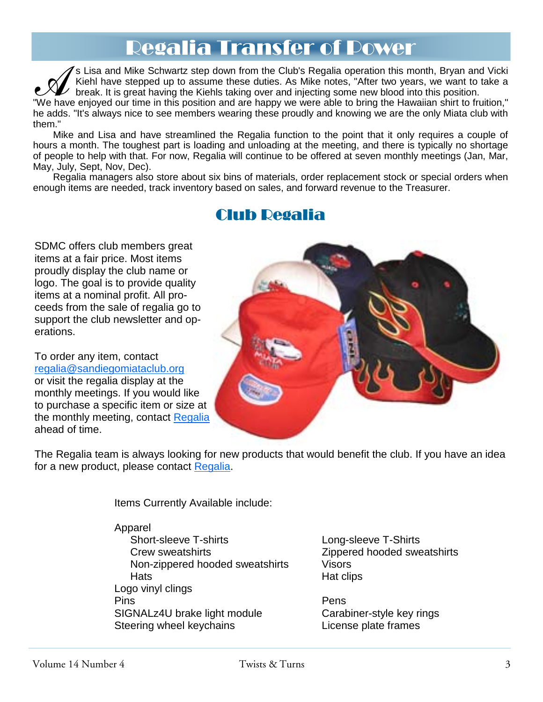## Regalia Transfer of Power

S Lisa and Mike Schwartz step down from the Club's Regalia operation this month, Bryan and Vicki Kiehl have stepped up to assume these duties. As Mike notes, "After two years, we want to take a break. It is great having th Kiehl have stepped up to assume these duties. As Mike notes, "After two years, we want to take a break. It is great having the Kiehls taking over and injecting some new blood into this position.

he adds. "It's always nice to see members wearing these proudly and knowing we are the only Miata club with them."

 Mike and Lisa and have streamlined the Regalia function to the point that it only requires a couple of hours a month. The toughest part is loading and unloading at the meeting, and there is typically no shortage of people to help with that. For now, Regalia will continue to be offered at seven monthly meetings (Jan, Mar, May, July, Sept, Nov, Dec).

 Regalia managers also store about six bins of materials, order replacement stock or special orders when enough items are needed, track inventory based on sales, and forward revenue to the Treasurer.

## Club Regalia

SDMC offers club members great items at a fair price. Most items proudly display the club name or logo. The goal is to provide quality items at a nominal profit. All proceeds from the sale of regalia go to support the club newsletter and operations.

To order any item, contact regalia@sandiegomiataclub.org or visit the regalia display at the monthly meetings. If you would like to purchase a specific item or size at the monthly meeting, contact Regalia ahead of time.



The Regalia team is always looking for new products that would benefit the club. If you have an idea for a new product, please contact Regalia.

Items Currently Available include:

Apparel Short-sleeve T-shirts Long-sleeve T-Shirts Crew sweatshirts Zippered hooded sweatshirts Non-zippered hooded sweatshirts Visors Hats **Hat clips** Hat clips Logo vinyl clings Pins Pens SIGNALz4U brake light module Carabiner-style key rings Steering wheel keychains **Example 20** License plate frames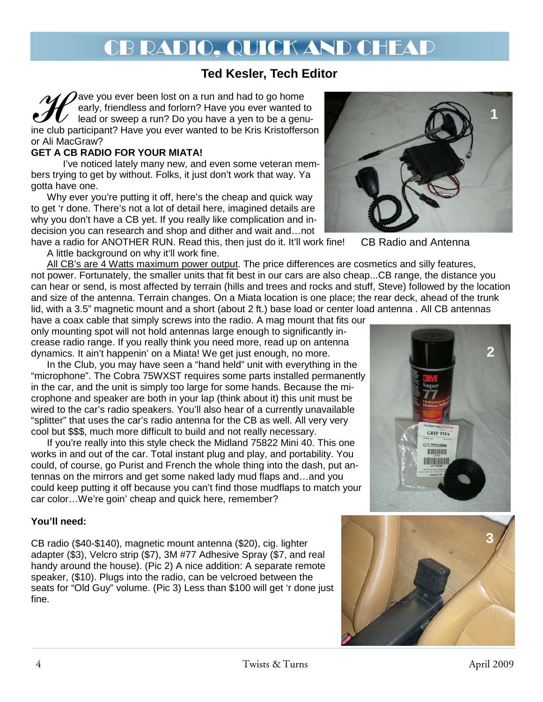# CB RADIO, QUICK AND CHEAP

## **Ted Kesler, Tech Editor**

A ave you ever been lost on a run and had to go home<br>
early, friendless and forlorn? Have you ever wanted to<br>
lead or sweep a run? Do you have a yen to be a genu-<br>
ine club participant? Have you ever wanted to be Kris Kris early, friendless and forlorn? Have you ever wanted to lead or sweep a run? Do you have a yen to be a genuor Ali MacGraw?

### **GET A CB RADIO FOR YOUR MIATA!**

 I've noticed lately many new, and even some veteran members trying to get by without. Folks, it just don't work that way. Ya gotta have one.

Why ever you're putting it off, here's the cheap and quick way to get 'r done. There's not a lot of detail here, imagined details are why you don't have a CB yet. If you really like complication and indecision you can research and shop and dither and wait and…not

have a radio for ANOTHER RUN. Read this, then just do it. It'll work fine! A little background on why it'll work fine.

 All CB's are 4 Watts maximum power output. The price differences are cosmetics and silly features, not power. Fortunately, the smaller units that fit best in our cars are also cheap...CB range, the distance you can hear or send, is most affected by terrain (hills and trees and rocks and stuff, Steve) followed by the location and size of the antenna. Terrain changes. On a Miata location is one place; the rear deck, ahead of the trunk lid, with a 3.5" magnetic mount and a short (about 2 ft.) base load or center load antenna . All CB antennas

have a coax cable that simply screws into the radio. A mag mount that fits our only mounting spot will not hold antennas large enough to significantly increase radio range. If you really think you need more, read up on antenna dynamics. It ain't happenin' on a Miata! We get just enough, no more.

 In the Club, you may have seen a "hand held" unit with everything in the "microphone". The Cobra 75WXST requires some parts installed permanently in the car, and the unit is simply too large for some hands. Because the microphone and speaker are both in your lap (think about it) this unit must be wired to the car's radio speakers. You'll also hear of a currently unavailable "splitter" that uses the car's radio antenna for the CB as well. All very very cool but \$\$\$, much more difficult to build and not really necessary.

 If you're really into this style check the Midland 75822 Mini 40. This one works in and out of the car. Total instant plug and play, and portability. You could, of course, go Purist and French the whole thing into the dash, put antennas on the mirrors and get some naked lady mud flaps and…and you could keep putting it off because you can't find those mudflaps to match your car color…We're goin' cheap and quick here, remember?

### **You'll need:**

CB radio (\$40-\$140), magnetic mount antenna (\$20), cig. lighter adapter (\$3), Velcro strip (\$7), 3M #77 Adhesive Spray (\$7, and real handy around the house). (Pic 2) A nice addition: A separate remote speaker, (\$10). Plugs into the radio, can be velcroed between the seats for "Old Guy" volume. (Pic 3) Less than \$100 will get 'r done just fine.

CB Radio and Antenna



**2** 

**1** 

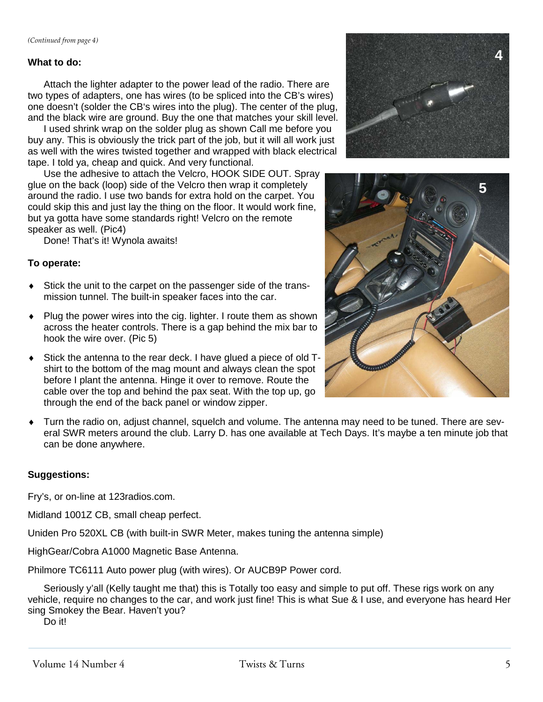#### **What to do:**

 Attach the lighter adapter to the power lead of the radio. There are two types of adapters, one has wires (to be spliced into the CB's wires) one doesn't (solder the CB's wires into the plug). The center of the plug, and the black wire are ground. Buy the one that matches your skill level.

 I used shrink wrap on the solder plug as shown Call me before you buy any. This is obviously the trick part of the job, but it will all work just as well with the wires twisted together and wrapped with black electrical tape. I told ya, cheap and quick. And very functional.

 Use the adhesive to attach the Velcro, HOOK SIDE OUT. Spray glue on the back (loop) side of the Velcro then wrap it completely around the radio. I use two bands for extra hold on the carpet. You could skip this and just lay the thing on the floor. It would work fine, but ya gotta have some standards right! Velcro on the remote speaker as well. (Pic4)

Done! That's it! Wynola awaits!

#### **To operate:**

- ♦ Stick the unit to the carpet on the passenger side of the transmission tunnel. The built-in speaker faces into the car.
- ♦ Plug the power wires into the cig. lighter. I route them as shown across the heater controls. There is a gap behind the mix bar to hook the wire over. (Pic 5)
- Stick the antenna to the rear deck. I have glued a piece of old Tshirt to the bottom of the mag mount and always clean the spot before I plant the antenna. Hinge it over to remove. Route the cable over the top and behind the pax seat. With the top up, go through the end of the back panel or window zipper.





Turn the radio on, adjust channel, squelch and volume. The antenna may need to be tuned. There are several SWR meters around the club. Larry D. has one available at Tech Days. It's maybe a ten minute job that can be done anywhere.

#### **Suggestions:**

Fry's, or on-line at 123radios.com.

Midland 1001Z CB, small cheap perfect.

Uniden Pro 520XL CB (with built-in SWR Meter, makes tuning the antenna simple)

HighGear/Cobra A1000 Magnetic Base Antenna.

Philmore TC6111 Auto power plug (with wires). Or AUCB9P Power cord.

 Seriously y'all (Kelly taught me that) this is Totally too easy and simple to put off. These rigs work on any vehicle, require no changes to the car, and work just fine! This is what Sue & I use, and everyone has heard Her sing Smokey the Bear. Haven't you?

Do it!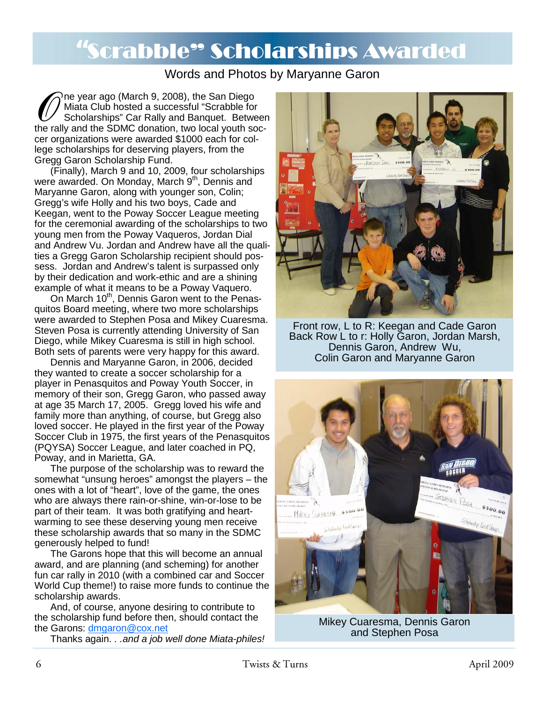# **"**Scrabble" Scholarships Awarded

## Words and Photos by Maryanne Garon

The year ago (March 9, 2008), the San Diego<br>
Scholarships" Car Rally and Banquet. Between<br>
the rally and the SDMC donation, two local youth soc-Miata Club hosted a successful "Scrabble for Scholarships" Car Rally and Banquet. Between cer organizations were awarded \$1000 each for college scholarships for deserving players, from the Gregg Garon Scholarship Fund.

 (Finally), March 9 and 10, 2009, four scholarships were awarded. On Monday, March 9<sup>th</sup>, Dennis and Maryanne Garon, along with younger son, Colin; Gregg's wife Holly and his two boys, Cade and Keegan, went to the Poway Soccer League meeting for the ceremonial awarding of the scholarships to two young men from the Poway Vaqueros, Jordan Dial and Andrew Vu. Jordan and Andrew have all the qualities a Gregg Garon Scholarship recipient should possess. Jordan and Andrew's talent is surpassed only by their dedication and work-ethic and are a shining example of what it means to be a Poway Vaquero.

On March 10<sup>th</sup>, Dennis Garon went to the Penasquitos Board meeting, where two more scholarships were awarded to Stephen Posa and Mikey Cuaresma. Steven Posa is currently attending University of San Diego, while Mikey Cuaresma is still in high school. Both sets of parents were very happy for this award.

 Dennis and Maryanne Garon, in 2006, decided they wanted to create a soccer scholarship for a player in Penasquitos and Poway Youth Soccer, in memory of their son, Gregg Garon, who passed away at age 35 March 17, 2005. Gregg loved his wife and family more than anything, of course, but Gregg also loved soccer. He played in the first year of the Poway Soccer Club in 1975, the first years of the Penasquitos (PQYSA) Soccer League, and later coached in PQ, Poway, and in Marietta, GA.

 The purpose of the scholarship was to reward the somewhat "unsung heroes" amongst the players – the ones with a lot of "heart", love of the game, the ones who are always there rain-or-shine, win-or-lose to be part of their team. It was both gratifying and heartwarming to see these deserving young men receive these scholarship awards that so many in the SDMC generously helped to fund!

 The Garons hope that this will become an annual award, and are planning (and scheming) for another fun car rally in 2010 (with a combined car and Soccer World Cup theme!) to raise more funds to continue the scholarship awards.

 And, of course, anyone desiring to contribute to the scholarship fund before then, should contact the the Garons: dmgaron@cox.net

Thanks again. *. .and a job well done Miata-philes!* 



Front row, L to R: Keegan and Cade Garon Back Row L to r: Holly Garon, Jordan Marsh, Dennis Garon, Andrew Wu, Colin Garon and Maryanne Garon



Mikey Cuaresma, Dennis Garon and Stephen Posa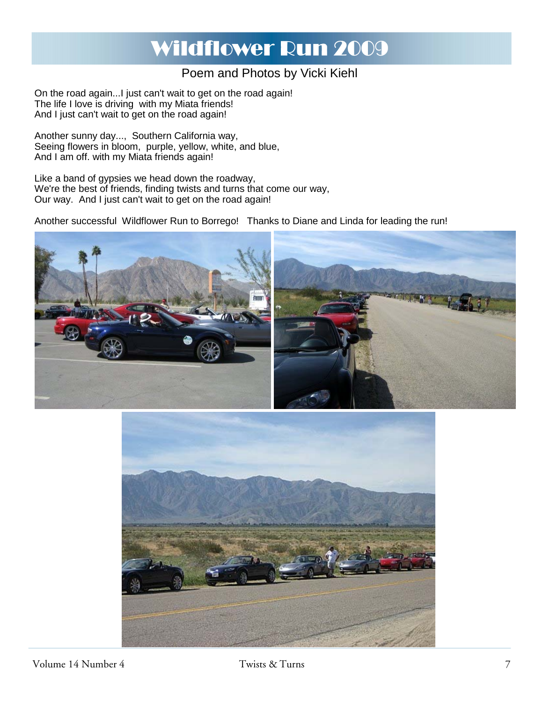# Wildflower Run 2009

### Poem and Photos by Vicki Kiehl

On the road again...I just can't wait to get on the road again! The life I love is driving with my Miata friends! And I just can't wait to get on the road again!

Another sunny day..., Southern California way, Seeing flowers in bloom, purple, yellow, white, and blue, And I am off. with my Miata friends again!

Like a band of gypsies we head down the roadway, We're the best of friends, finding twists and turns that come our way, Our way. And I just can't wait to get on the road again!

Another successful Wildflower Run to Borrego! Thanks to Diane and Linda for leading the run!



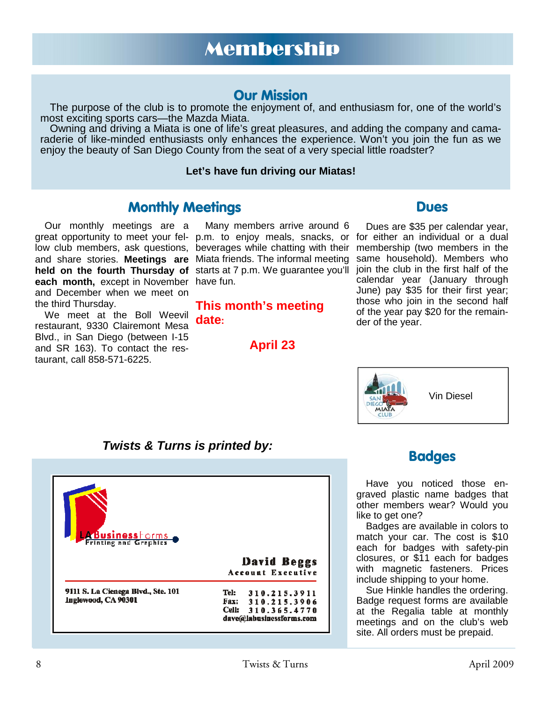## **Our Mission**

The purpose of the club is to promote the enjoyment of, and enthusiasm for, one of the world's most exciting sports cars—the Mazda Miata.

Owning and driving a Miata is one of life's great pleasures, and adding the company and camaraderie of like-minded enthusiasts only enhances the experience. Won't you join the fun as we enjoy the beauty of San Diego County from the seat of a very special little roadster?

#### **Let's have fun driving our Miatas!**

## **Monthly Meetings**

great opportunity to meet your fel- p.m. to enjoy meals, snacks, or for either an individual or a dual Our monthly meetings are a low club members, ask questions, beverages while chatting with their and share stories. **Meetings are**  Miata friends. The informal meeting held on the fourth Thursday of starts at 7 p.m. We guarantee you'll **each month,** except in November have fun. and December when we meet on the third Thursday.

We meet at the Boll Weevil restaurant, 9330 Clairemont Mesa Blvd., in San Diego (between I-15 and SR 163). To contact the restaurant, call 858-571-6225.

Many members arrive around 6

### **This month's meeting date:**

**April 23** 

## **Dues**

Dues are \$35 per calendar year, membership (two members in the same household). Members who join the club in the first half of the calendar year (January through June) pay \$35 for their first year; those who join in the second half of the year pay \$20 for the remainder of the year.



*Twists & Turns is printed by:* 



## **Badges**

Have you noticed those engraved plastic name badges that other members wear? Would you like to get one?

Badges are available in colors to match your car. The cost is \$10 each for badges with safety-pin closures, or \$11 each for badges with magnetic fasteners. Prices include shipping to your home.

Sue Hinkle handles the ordering. Badge request forms are available at the Regalia table at monthly meetings and on the club's web site. All orders must be prepaid.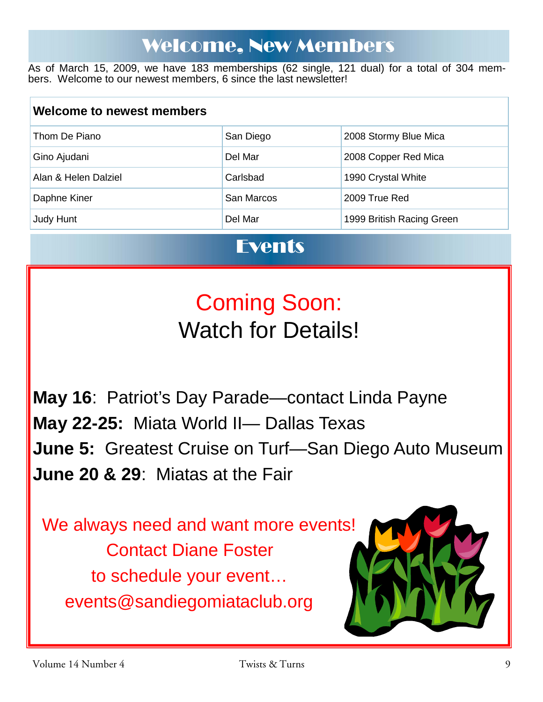## Welcome, New Members

As of March 15, 2009, we have 183 memberships (62 single, 121 dual) for a total of 304 members. Welcome to our newest members, 6 since the last newsletter!

| Welcome to newest members |            |                           |  |  |
|---------------------------|------------|---------------------------|--|--|
| Thom De Piano             | San Diego  | 2008 Stormy Blue Mica     |  |  |
| Gino Ajudani              | Del Mar    | 2008 Copper Red Mica      |  |  |
| Alan & Helen Dalziel      | Carlsbad   | 1990 Crystal White        |  |  |
| Daphne Kiner              | San Marcos | 2009 True Red             |  |  |
| <b>Judy Hunt</b>          | Del Mar    | 1999 British Racing Green |  |  |

## Events

# Coming Soon: Watch for Details!

**May 16**: Patriot's Day Parade—contact Linda Payne **May 22-25:** Miata World II— Dallas Texas **June 5:** Greatest Cruise on Turf—San Diego Auto Museum **June 20 & 29**: Miatas at the Fair

We always need and want more events! Contact Diane Foster to schedule your event… events@sandiegomiataclub.org

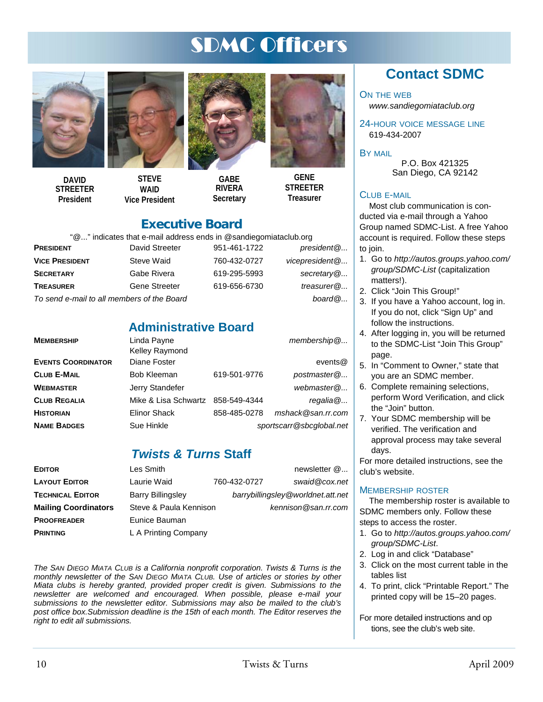# SDMC Officers



**DAVID STREETER President** 



**WAID Vice President** 



**GABE RIVERA Secretary** 



**Treasurer** 

## **Executive Board**

"@..." indicates that e-mail address ends in @sandiegomiataclub.org

| PRESIDENT             | David Streeter                             | 951-461-1722 | president@     |
|-----------------------|--------------------------------------------|--------------|----------------|
| <b>VICE PRESIDENT</b> | Steve Waid                                 | 760-432-0727 | vicepresident@ |
| <b>SECRETARY</b>      | Gabe Rivera                                | 619-295-5993 | secretary $@$  |
| Treasurer             | <b>Gene Streeter</b>                       | 619-656-6730 | treasurer@     |
|                       | To send e-mail to all members of the Board |              | board@         |

## **Administrative Board**

| <b>MEMBERSHIP</b>         | Linda Payne<br>Kelley Raymond |              | $m$ embership $@$        |
|---------------------------|-------------------------------|--------------|--------------------------|
| <b>EVENTS COORDINATOR</b> | Diane Foster                  |              | events $@$               |
| CLUB E-MAIL               | <b>Bob Kleeman</b>            | 619-501-9776 | postmaster@              |
| WEBMASTER                 | Jerry Standefer               |              | webmaster@               |
| <b>CLUB REGALIA</b>       | Mike & Lisa Schwartz          | 858-549-4344 | regalia@                 |
| <b>HISTORIAN</b>          | <b>Elinor Shack</b>           | 858-485-0278 | mshack@san.rr.com        |
| <b>NAME BADGES</b>        | Sue Hinkle                    |              | sportscarr@sbcglobal.net |

## *Twists & Turns* **Staff**

| <b>EDITOR</b>               | Les Smith                |              | newsletter $@$                    |
|-----------------------------|--------------------------|--------------|-----------------------------------|
| <b>LAYOUT EDITOR</b>        | Laurie Waid              | 760-432-0727 | swaid@cox.net                     |
| <b>TECHNICAL EDITOR</b>     | <b>Barry Billingsley</b> |              | barrybillingsley@worldnet.att.net |
| <b>Mailing Coordinators</b> | Steve & Paula Kennison   |              | kennison@san.rr.com               |
| <b>PROOFREADER</b>          | Eunice Bauman            |              |                                   |
| <b>PRINTING</b>             | L A Printing Company     |              |                                   |

*The SAN DIEGO MIATA CLUB is a California nonprofit corporation. Twists & Turns is the monthly newsletter of the SAN DIEGO MIATA CLUB. Use of articles or stories by other Miata clubs is hereby granted, provided proper credit is given. Submissions to the newsletter are welcomed and encouraged. When possible, please e-mail your submissions to the newsletter editor. Submissions may also be mailed to the club's post office box.Submission deadline is the 15th of each month. The Editor reserves the right to edit all submissions.* 

## **Contact SDMC**

ON THE WEB *www.sandiegomiataclub.org* 

24-HOUR VOICE MESSAGE LINE 619-434-2007

BY MAIL

P.O. Box 421325 San Diego, CA 92142

#### CLUB E-MAIL

Most club communication is conducted via e-mail through a Yahoo Group named SDMC-List. A free Yahoo account is required. Follow these steps to join.

- 1. Go to *http://autos.groups.yahoo.com/ group/SDMC-List* (capitalization matters!).
- 2. Click "Join This Group!"
- 3. If you have a Yahoo account, log in. If you do not, click "Sign Up" and follow the instructions.
- 4. After logging in, you will be returned to the SDMC-List "Join This Group" page.
- 5. In "Comment to Owner," state that you are an SDMC member.
- 6. Complete remaining selections, perform Word Verification, and click the "Join" button.
- 7. Your SDMC membership will be verified. The verification and approval process may take several days.

For more detailed instructions, see the club's website.

#### MEMBERSHIP ROSTER

The membership roster is available to SDMC members only. Follow these steps to access the roster.

- 1. Go to *http://autos.groups.yahoo.com/ group/SDMC-List*.
- 2. Log in and click "Database"
- 3. Click on the most current table in the tables list
- 4. To print, click "Printable Report." The printed copy will be 15–20 pages.

For more detailed instructions and op tions, see the club's web site.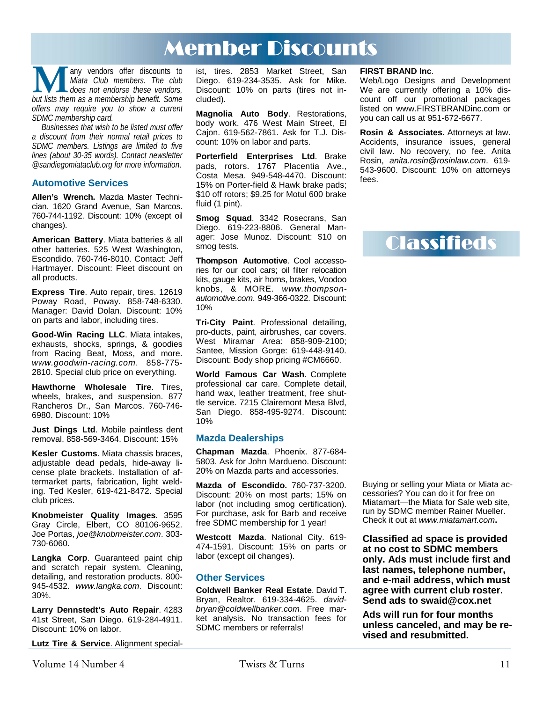## Member Discounts

**M** any vendors offer discounts to *Miata Club members. The club* does not endorse these vendors, but lists them as a membership benefit. Some *Miata Club members. The club does not endorse these vendors, offers may require you to show a current SDMC membership card.* 

*Businesses that wish to be listed must offer a discount from their normal retail prices to SDMC members. Listings are limited to five lines (about 30-35 words). Contact newsletter @sandiegomiataclub.org for more information*.

#### **Automotive Services**

**Allen's Wrench.** Mazda Master Technician. 1620 Grand Avenue, San Marcos. 760-744-1192. Discount: 10% (except oil changes).

**American Battery**. Miata batteries & all other batteries. 525 West Washington, Escondido. 760-746-8010. Contact: Jeff Hartmayer. Discount: Fleet discount on all products.

**Express Tire**. Auto repair, tires. 12619 Poway Road, Poway. 858-748-6330. Manager: David Dolan. Discount: 10% on parts and labor, including tires.

**Good-Win Racing LLC**. Miata intakes, exhausts, shocks, springs, & goodies from Racing Beat, Moss, and more. *www.goodwin-racing.com*. 858-775- 2810. Special club price on everything.

**Hawthorne Wholesale Tire**. Tires, wheels, brakes, and suspension. 877 Rancheros Dr., San Marcos. 760-746- 6980. Discount: 10%

**Just Dings Ltd**. Mobile paintless dent removal. 858-569-3464. Discount: 15%

**Kesler Customs**. Miata chassis braces, adjustable dead pedals, hide-away license plate brackets. Installation of aftermarket parts, fabrication, light welding. Ted Kesler, 619-421-8472. Special club prices.

**Knobmeister Quality Images**. 3595 Gray Circle, Elbert, CO 80106-9652. Joe Portas, *joe@knobmeister.com*. 303- 730-6060.

**Langka Corp**. Guaranteed paint chip and scratch repair system. Cleaning, detailing, and restoration products. 800- 945-4532. *www.langka.com*. Discount: 30%.

**Larry Dennstedt's Auto Repair**. 4283 41st Street, San Diego. 619-284-4911. Discount: 10% on labor.

**Lutz Tire & Service**. Alignment special-

**Magnolia Auto Body**. Restorations, body work. 476 West Main Street, El Cajon. 619-562-7861. Ask for T.J. Discount: 10% on labor and parts.

**Porterfield Enterprises Ltd**. Brake pads, rotors. 1767 Placentia Ave., Costa Mesa. 949-548-4470. Discount: 15% on Porter-field & Hawk brake pads; \$10 off rotors; \$9.25 for Motul 600 brake fluid (1 pint).

**Smog Squad**. 3342 Rosecrans, San Diego. 619-223-8806. General Manager: Jose Munoz. Discount: \$10 on smog tests.

**Thompson Automotive**. Cool accessories for our cool cars; oil filter relocation kits, gauge kits, air horns, brakes, Voodoo knobs, & MORE. *www.thompsonautomotive.com*. 949-366-0322. Discount: 10%

**Tri-City Paint**. Professional detailing, pro-ducts, paint, airbrushes, car covers. West Miramar Area: 858-909-2100; Santee, Mission Gorge: 619-448-9140. Discount: Body shop pricing #CM6660.

**World Famous Car Wash**. Complete professional car care. Complete detail, hand wax, leather treatment, free shuttle service. 7215 Clairemont Mesa Blvd, San Diego. 858-495-9274. Discount: 10%

#### **Mazda Dealerships**

**Chapman Mazda**. Phoenix. 877-684- 5803. Ask for John Mardueno. Discount: 20% on Mazda parts and accessories.

**Mazda of Escondido.** 760-737-3200. Discount: 20% on most parts; 15% on labor (not including smog certification). For purchase, ask for Barb and receive free SDMC membership for 1 year!

**Westcott Mazda**. National City. 619- 474-1591. Discount: 15% on parts or labor (except oil changes).

#### **Other Services**

**Coldwell Banker Real Estate**. David T. Bryan, Realtor. 619-334-4625. *davidbryan@coldwellbanker.com*. Free market analysis. No transaction fees for SDMC members or referrals!

#### **FIRST BRAND Inc**.

Web/Logo Designs and Development We are currently offering a 10% discount off our promotional packages listed on www.FIRSTBRANDinc.com or you can call us at 951-672-6677.

**Rosin & Associates.** Attorneys at law. Accidents, insurance issues, general civil law. No recovery, no fee. Anita Rosin, *anita.rosin@rosinlaw.com*. 619- 543-9600. Discount: 10% on attorneys fees.

## **Classifieds**

Buying or selling your Miata or Miata accessories? You can do it for free on Miatamart—the Miata for Sale web site, run by SDMC member Rainer Mueller. Check it out at *www.miatamart.com***.** 

**Classified ad space is provided at no cost to SDMC members only. Ads must include first and last names, telephone number, and e-mail address, which must agree with current club roster. Send ads to swaid@cox.net**

**Ads will run for four months unless canceled, and may be revised and resubmitted.**